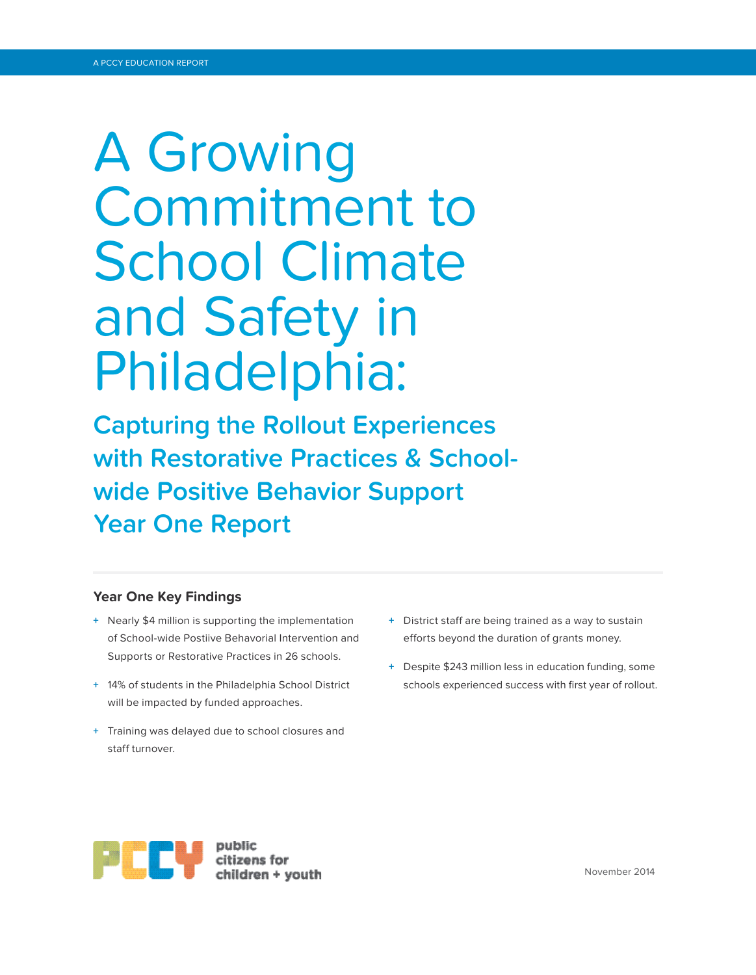# A Growing Commitment to School Climate and Safety in Philadelphia:

**Capturing the Rollout Experiences with Restorative Practices & Schoolwide Positive Behavior Support Year One Report**

## **Year One Key Findings**

- **+** Nearly \$4 million is supporting the implementation of School-wide Postiive Behavorial Intervention and Supports or Restorative Practices in 26 schools.
- **+** 14% of students in the Philadelphia School District will be impacted by funded approaches.
- **+** Training was delayed due to school closures and staff turnover.
- **+** District staff are being trained as a way to sustain efforts beyond the duration of grants money.
- **+** Despite \$243 million less in education funding, some schools experienced success with first year of rollout.

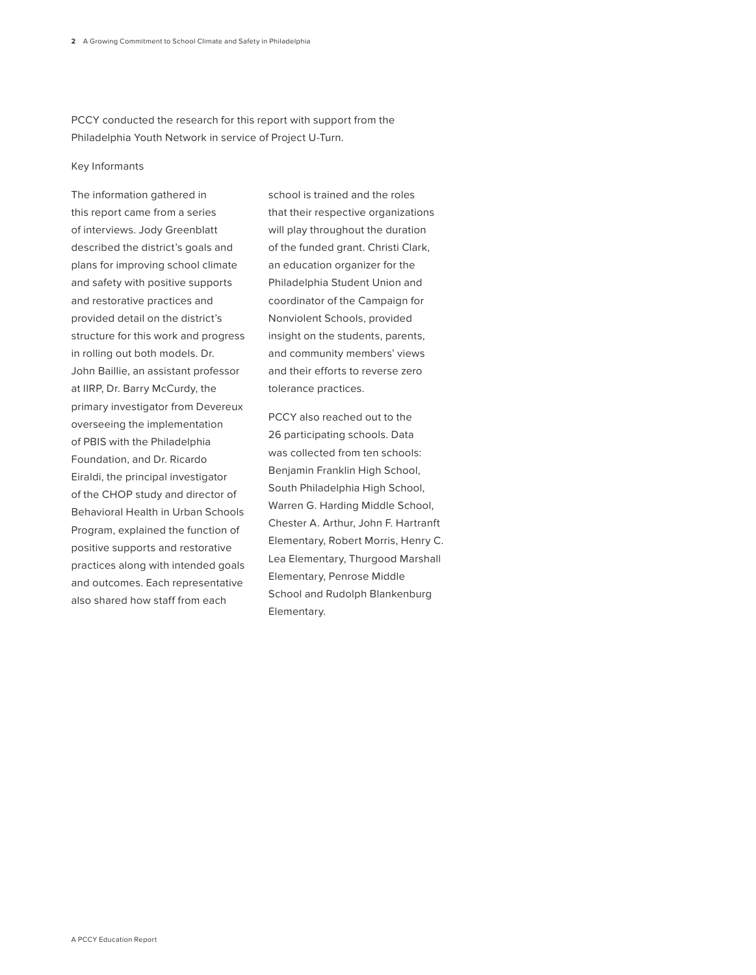PCCY conducted the research for this report with support from the Philadelphia Youth Network in service of Project U-Turn.

#### Key Informants

The information gathered in this report came from a series of interviews. Jody Greenblatt described the district's goals and plans for improving school climate and safety with positive supports and restorative practices and provided detail on the district's structure for this work and progress in rolling out both models. Dr. John Baillie, an assistant professor at IIRP, Dr. Barry McCurdy, the primary investigator from Devereux overseeing the implementation of PBIS with the Philadelphia Foundation, and Dr. Ricardo Eiraldi, the principal investigator of the CHOP study and director of Behavioral Health in Urban Schools Program, explained the function of positive supports and restorative practices along with intended goals and outcomes. Each representative also shared how staff from each

school is trained and the roles that their respective organizations will play throughout the duration of the funded grant. Christi Clark, an education organizer for the Philadelphia Student Union and coordinator of the Campaign for Nonviolent Schools, provided insight on the students, parents, and community members' views and their efforts to reverse zero tolerance practices.

PCCY also reached out to the 26 participating schools. Data was collected from ten schools: Benjamin Franklin High School, South Philadelphia High School, Warren G. Harding Middle School, Chester A. Arthur, John F. Hartranft Elementary, Robert Morris, Henry C. Lea Elementary, Thurgood Marshall Elementary, Penrose Middle School and Rudolph Blankenburg Elementary.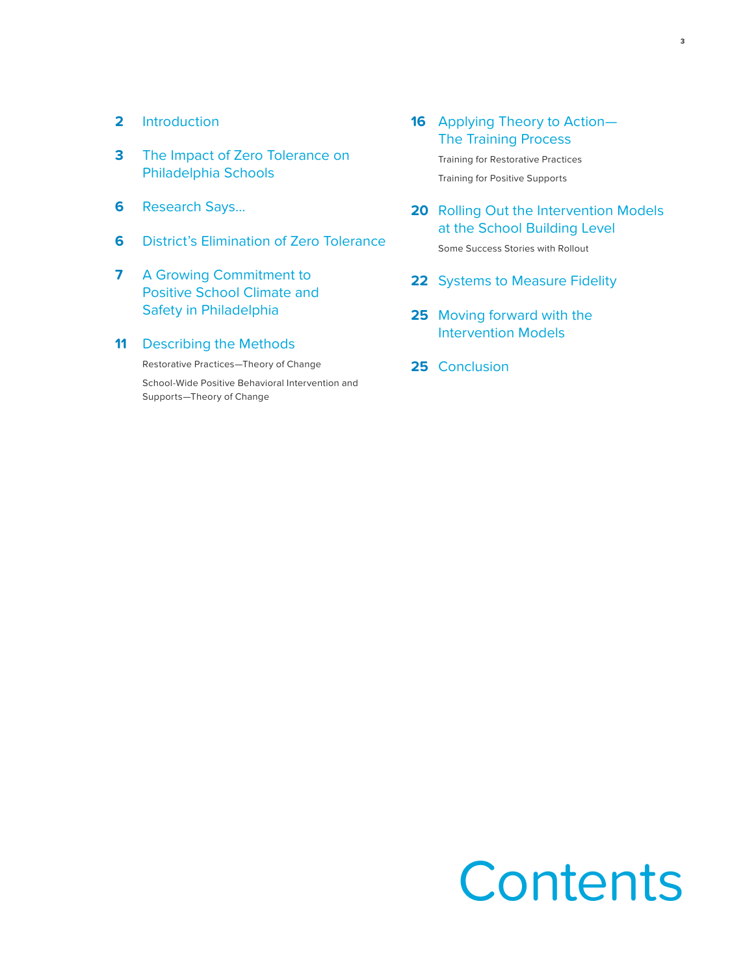- **2** Introduction
- **3** The Impact of Zero Tolerance on Philadelphia Schools
- **6** Research Says…
- **6** District's Elimination of Zero Tolerance
- **7** A Growing Commitment to Positive School Climate and Safety in Philadelphia
- **11** Describing the Methods

Restorative Practices—Theory of Change

School-Wide Positive Behavioral Intervention and Supports—Theory of Change

- **16** Applying Theory to Action— The Training Process Training for Restorative Practices Training for Positive Supports
- **20** Rolling Out the Intervention Models at the School Building Level

Some Success Stories with Rollout

- **22** Systems to Measure Fidelity
- **25** Moving forward with the Intervention Models
- **25** Conclusion

# **Contents**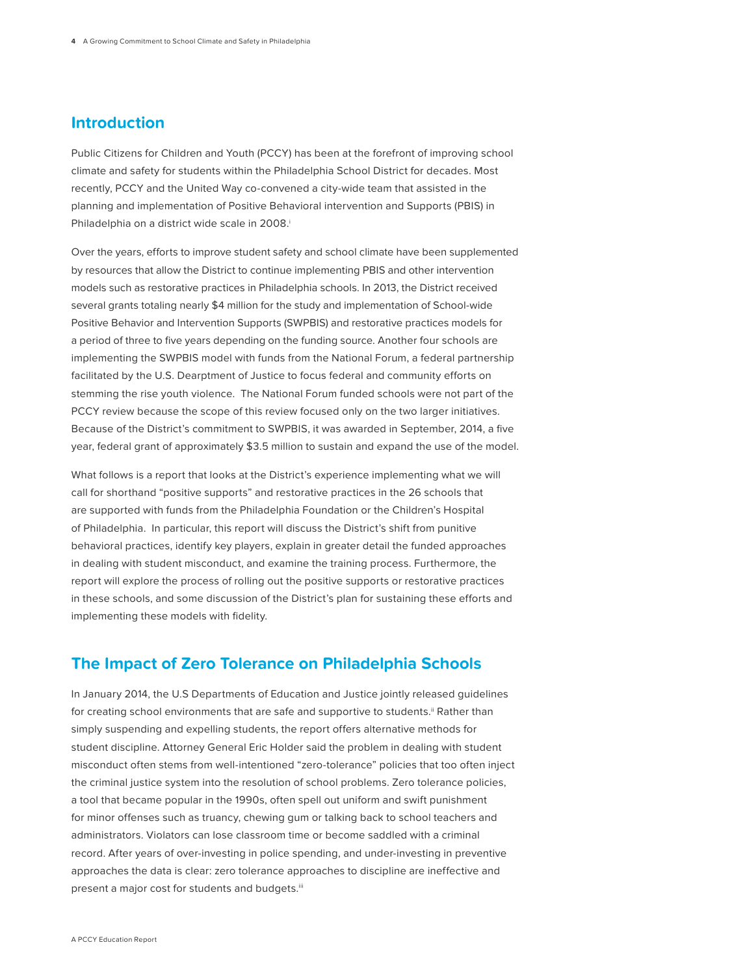# **Introduction**

Public Citizens for Children and Youth (PCCY) has been at the forefront of improving school climate and safety for students within the Philadelphia School District for decades. Most recently, PCCY and the United Way co-convened a city-wide team that assisted in the planning and implementation of Positive Behavioral intervention and Supports (PBIS) in Philadelphia on a district wide scale in 2008.

Over the years, efforts to improve student safety and school climate have been supplemented by resources that allow the District to continue implementing PBIS and other intervention models such as restorative practices in Philadelphia schools. In 2013, the District received several grants totaling nearly \$4 million for the study and implementation of School-wide Positive Behavior and Intervention Supports (SWPBIS) and restorative practices models for a period of three to five years depending on the funding source. Another four schools are implementing the SWPBIS model with funds from the National Forum, a federal partnership facilitated by the U.S. Dearptment of Justice to focus federal and community efforts on stemming the rise youth violence. The National Forum funded schools were not part of the PCCY review because the scope of this review focused only on the two larger initiatives. Because of the District's commitment to SWPBIS, it was awarded in September, 2014, a five year, federal grant of approximately \$3.5 million to sustain and expand the use of the model.

What follows is a report that looks at the District's experience implementing what we will call for shorthand "positive supports" and restorative practices in the 26 schools that are supported with funds from the Philadelphia Foundation or the Children's Hospital of Philadelphia. In particular, this report will discuss the District's shift from punitive behavioral practices, identify key players, explain in greater detail the funded approaches in dealing with student misconduct, and examine the training process. Furthermore, the report will explore the process of rolling out the positive supports or restorative practices in these schools, and some discussion of the District's plan for sustaining these efforts and implementing these models with fidelity.

## **The Impact of Zero Tolerance on Philadelphia Schools**

In January 2014, the U.S Departments of Education and Justice jointly released guidelines for creating school environments that are safe and supportive to students." Rather than simply suspending and expelling students, the report offers alternative methods for student discipline. Attorney General Eric Holder said the problem in dealing with student misconduct often stems from well-intentioned "zero-tolerance" policies that too often inject the criminal justice system into the resolution of school problems. Zero tolerance policies, a tool that became popular in the 1990s, often spell out uniform and swift punishment for minor offenses such as truancy, chewing gum or talking back to school teachers and administrators. Violators can lose classroom time or become saddled with a criminal record. After years of over-investing in police spending, and under-investing in preventive approaches the data is clear: zero tolerance approaches to discipline are ineffective and present a major cost for students and budgets.iii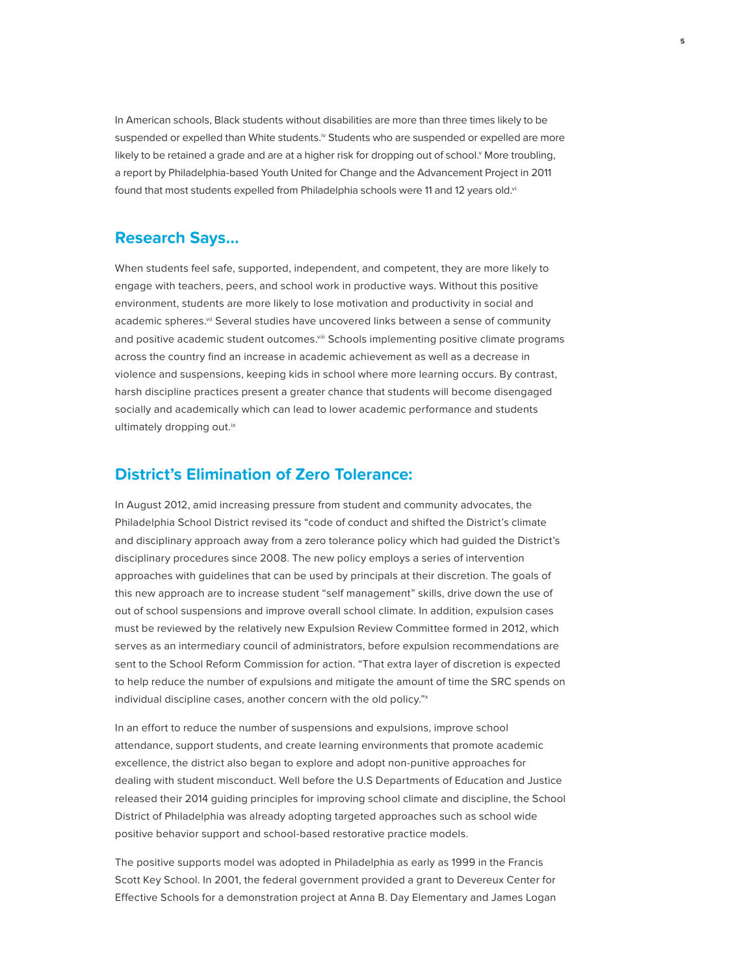In American schools, Black students without disabilities are more than three times likely to be suspended or expelled than White students.<sup>iv</sup> Students who are suspended or expelled are more likely to be retained a grade and are at a higher risk for dropping out of school.<sup>y</sup> More troubling, a report by Philadelphia-based Youth United for Change and the Advancement Project in 2011 found that most students expelled from Philadelphia schools were 11 and 12 years old.vi

## **Research Says…**

When students feel safe, supported, independent, and competent, they are more likely to engage with teachers, peers, and school work in productive ways. Without this positive environment, students are more likely to lose motivation and productivity in social and academic spheres.<sup>vii</sup> Several studies have uncovered links between a sense of community and positive academic student outcomes.<sup>viii</sup> Schools implementing positive climate programs across the country find an increase in academic achievement as well as a decrease in violence and suspensions, keeping kids in school where more learning occurs. By contrast, harsh discipline practices present a greater chance that students will become disengaged socially and academically which can lead to lower academic performance and students ultimately dropping out.<sup>ix</sup>

## **District's Elimination of Zero Tolerance:**

In August 2012, amid increasing pressure from student and community advocates, the Philadelphia School District revised its "code of conduct and shifted the District's climate and disciplinary approach away from a zero tolerance policy which had guided the District's disciplinary procedures since 2008. The new policy employs a series of intervention approaches with guidelines that can be used by principals at their discretion. The goals of this new approach are to increase student "self management" skills, drive down the use of out of school suspensions and improve overall school climate. In addition, expulsion cases must be reviewed by the relatively new Expulsion Review Committee formed in 2012, which serves as an intermediary council of administrators, before expulsion recommendations are sent to the School Reform Commission for action. "That extra layer of discretion is expected to help reduce the number of expulsions and mitigate the amount of time the SRC spends on individual discipline cases, another concern with the old policy."x

In an effort to reduce the number of suspensions and expulsions, improve school attendance, support students, and create learning environments that promote academic excellence, the district also began to explore and adopt non-punitive approaches for dealing with student misconduct. Well before the U.S Departments of Education and Justice released their 2014 guiding principles for improving school climate and discipline, the School District of Philadelphia was already adopting targeted approaches such as school wide positive behavior support and school-based restorative practice models.

The positive supports model was adopted in Philadelphia as early as 1999 in the Francis Scott Key School. In 2001, the federal government provided a grant to Devereux Center for Effective Schools for a demonstration project at Anna B. Day Elementary and James Logan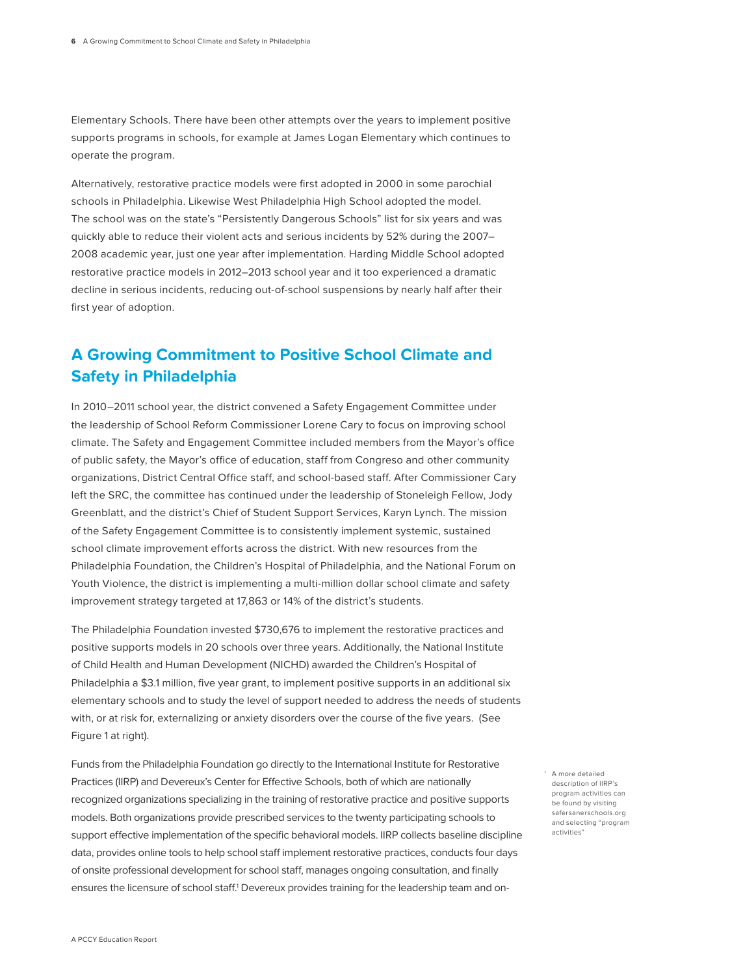Elementary Schools. There have been other attempts over the years to implement positive supports programs in schools, for example at James Logan Elementary which continues to operate the program.

Alternatively, restorative practice models were first adopted in 2000 in some parochial schools in Philadelphia. Likewise West Philadelphia High School adopted the model. The school was on the state's "Persistently Dangerous Schools" list for six years and was quickly able to reduce their violent acts and serious incidents by 52% during the 2007– 2008 academic year, just one year after implementation. Harding Middle School adopted restorative practice models in 2012–2013 school year and it too experienced a dramatic decline in serious incidents, reducing out-of-school suspensions by nearly half after their first year of adoption.

# **A Growing Commitment to Positive School Climate and Safety in Philadelphia**

In 2010–2011 school year, the district convened a Safety Engagement Committee under the leadership of School Reform Commissioner Lorene Cary to focus on improving school climate. The Safety and Engagement Committee included members from the Mayor's office of public safety, the Mayor's office of education, staff from Congreso and other community organizations, District Central Office staff, and school-based staff. After Commissioner Cary left the SRC, the committee has continued under the leadership of Stoneleigh Fellow, Jody Greenblatt, and the district's Chief of Student Support Services, Karyn Lynch. The mission of the Safety Engagement Committee is to consistently implement systemic, sustained school climate improvement efforts across the district. With new resources from the Philadelphia Foundation, the Children's Hospital of Philadelphia, and the National Forum on Youth Violence, the district is implementing a multi-million dollar school climate and safety improvement strategy targeted at 17,863 or 14% of the district's students.

The Philadelphia Foundation invested \$730,676 to implement the restorative practices and positive supports models in 20 schools over three years. Additionally, the National Institute of Child Health and Human Development (NICHD) awarded the Children's Hospital of Philadelphia a \$3.1 million, five year grant, to implement positive supports in an additional six elementary schools and to study the level of support needed to address the needs of students with, or at risk for, externalizing or anxiety disorders over the course of the five years. (See Figure 1 at right).

Funds from the Philadelphia Foundation go directly to the International Institute for Restorative Practices (IIRP) and Devereux's Center for Effective Schools, both of which are nationally recognized organizations specializing in the training of restorative practice and positive supports models. Both organizations provide prescribed services to the twenty participating schools to support effective implementation of the specific behavioral models. IIRP collects baseline discipline data, provides online tools to help school staff implement restorative practices, conducts four days of onsite professional development for school staff, manages ongoing consultation, and finally ensures the licensure of school staff.<sup>1</sup> Devereux provides training for the leadership team and on-

1 A more detailed description of IIRP's program activities can be found by visiting safersanerschools.org and selecting "program activities"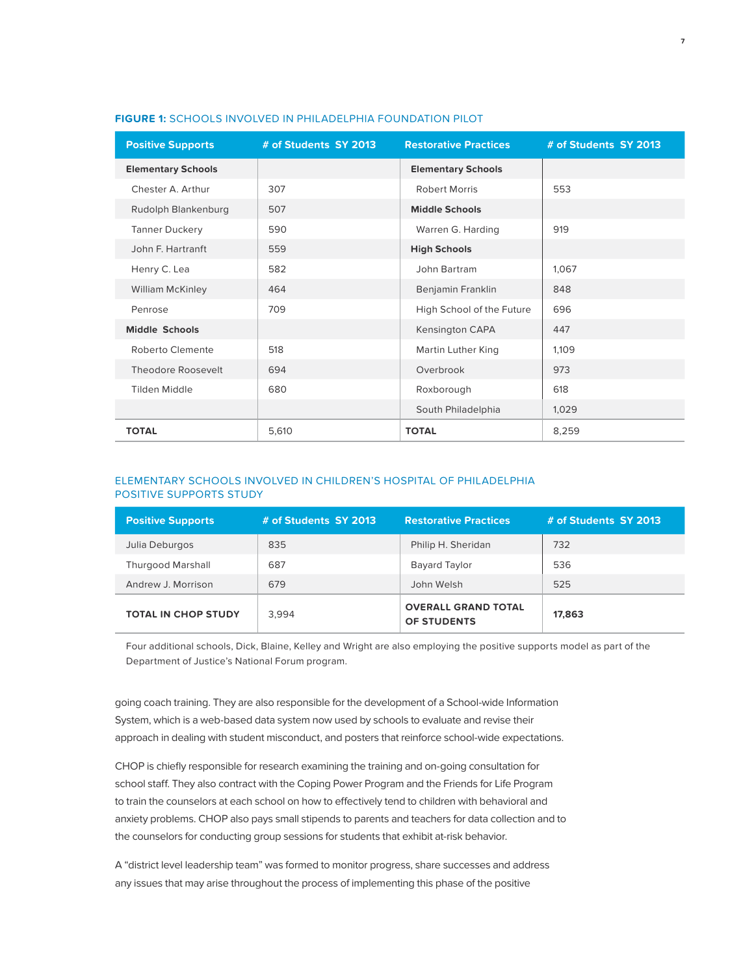| <b>Positive Supports</b>  | # of Students SY 2013 | <b>Restorative Practices</b> | # of Students SY 2013 |
|---------------------------|-----------------------|------------------------------|-----------------------|
| <b>Elementary Schools</b> |                       | <b>Elementary Schools</b>    |                       |
| Chester A. Arthur         | 307                   | <b>Robert Morris</b>         | 553                   |
| Rudolph Blankenburg       | 507                   | <b>Middle Schools</b>        |                       |
| <b>Tanner Duckery</b>     | 590                   | Warren G. Harding            | 919                   |
| John F. Hartranft         | 559                   | <b>High Schools</b>          |                       |
| Henry C. Lea              | 582                   | John Bartram                 | 1,067                 |
| <b>William McKinley</b>   | 464                   | Benjamin Franklin            | 848                   |
| Penrose                   | 709                   | High School of the Future    | 696                   |
| <b>Middle Schools</b>     |                       | <b>Kensington CAPA</b>       | 447                   |
| Roberto Clemente          | 518                   | Martin Luther King           | 1,109                 |
| Theodore Roosevelt        | 694                   | Overbrook                    | 973                   |
| Tilden Middle             | 680                   | Roxborough                   | 618                   |
|                           |                       | South Philadelphia           | 1,029                 |
| <b>TOTAL</b>              | 5,610                 | <b>TOTAL</b>                 | 8,259                 |

## **FIGURE 1:** SCHOOLS INVOLVED IN PHILADELPHIA FOUNDATION PILOT

### ELEMENTARY SCHOOLS INVOLVED IN CHILDREN'S HOSPITAL OF PHILADELPHIA POSITIVE SUPPORTS STUDY

| <b>Positive Supports</b>   | # of Students SY 2013 | <b>Restorative Practices</b>              | # of Students SY 2013 |
|----------------------------|-----------------------|-------------------------------------------|-----------------------|
| Julia Deburgos             | 835                   | Philip H. Sheridan                        | 732                   |
| <b>Thurgood Marshall</b>   | 687                   | <b>Bayard Taylor</b>                      | 536                   |
| Andrew J. Morrison         | 679                   | John Welsh                                | 525                   |
| <b>TOTAL IN CHOP STUDY</b> | 3.994                 | <b>OVERALL GRAND TOTAL</b><br>OF STUDENTS | 17,863                |

Four additional schools, Dick, Blaine, Kelley and Wright are also employing the positive supports model as part of the Department of Justice's National Forum program.

going coach training. They are also responsible for the development of a School-wide Information System, which is a web-based data system now used by schools to evaluate and revise their approach in dealing with student misconduct, and posters that reinforce school-wide expectations.

CHOP is chiefly responsible for research examining the training and on-going consultation for school staff. They also contract with the Coping Power Program and the Friends for Life Program to train the counselors at each school on how to effectively tend to children with behavioral and anxiety problems. CHOP also pays small stipends to parents and teachers for data collection and to the counselors for conducting group sessions for students that exhibit at-risk behavior.

A "district level leadership team" was formed to monitor progress, share successes and address any issues that may arise throughout the process of implementing this phase of the positive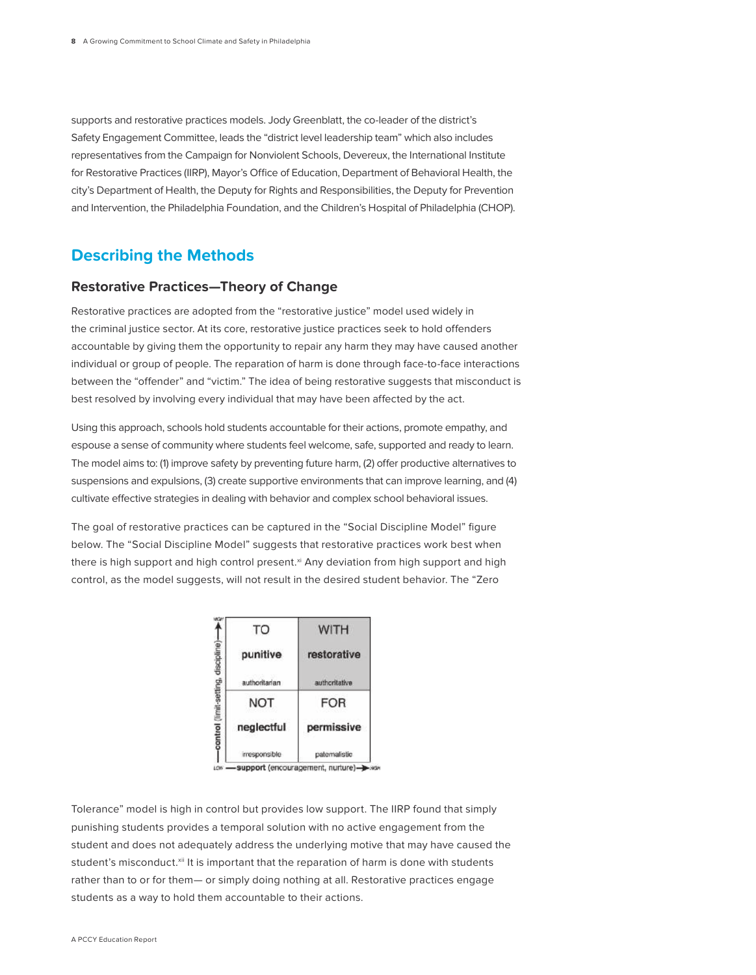supports and restorative practices models. Jody Greenblatt, the co-leader of the district's Safety Engagement Committee, leads the "district level leadership team" which also includes representatives from the Campaign for Nonviolent Schools, Devereux, the International Institute for Restorative Practices (IIRP), Mayor's Office of Education, Department of Behavioral Health, the city's Department of Health, the Deputy for Rights and Responsibilities, the Deputy for Prevention and Intervention, the Philadelphia Foundation, and the Children's Hospital of Philadelphia (CHOP).

# **Describing the Methods**

## **Restorative Practices—Theory of Change**

Restorative practices are adopted from the "restorative justice" model used widely in the criminal justice sector. At its core, restorative justice practices seek to hold offenders accountable by giving them the opportunity to repair any harm they may have caused another individual or group of people. The reparation of harm is done through face-to-face interactions between the "offender" and "victim." The idea of being restorative suggests that misconduct is best resolved by involving every individual that may have been affected by the act.

Using this approach, schools hold students accountable for their actions, promote empathy, and espouse a sense of community where students feel welcome, safe, supported and ready to learn. The model aims to: (1) improve safety by preventing future harm, (2) offer productive alternatives to suspensions and expulsions, (3) create supportive environments that can improve learning, and (4) cultivate effective strategies in dealing with behavior and complex school behavioral issues.

The goal of restorative practices can be captured in the "Social Discipline Model" figure below. The "Social Discipline Model" suggests that restorative practices work best when there is high support and high control present.<sup>xi</sup> Any deviation from high support and high control, as the model suggests, will not result in the desired student behavior. The "Zero

| TO            | WITH          |  |
|---------------|---------------|--|
| punitive      | restorative   |  |
| authoritarian | authoritative |  |
| <b>NOT</b>    | <b>FOR</b>    |  |
| neglectful    | permissive    |  |
| mesponsible   | patemalistic  |  |

LOW -support (encouragement, nurture)->

Tolerance" model is high in control but provides low support. The IIRP found that simply punishing students provides a temporal solution with no active engagement from the student and does not adequately address the underlying motive that may have caused the student's misconduct.<sup>xii</sup> It is important that the reparation of harm is done with students rather than to or for them— or simply doing nothing at all. Restorative practices engage students as a way to hold them accountable to their actions.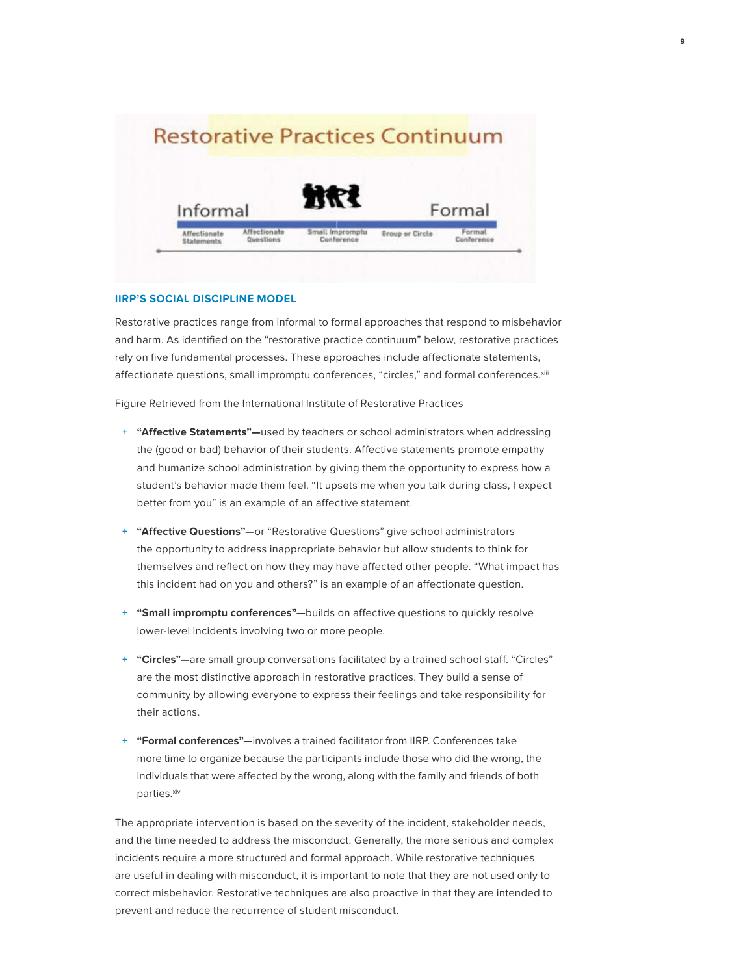

**9**

#### **IIRP'S SOCIAL DISCIPLINE MODEL**

Restorative practices range from informal to formal approaches that respond to misbehavior and harm. As identified on the "restorative practice continuum" below, restorative practices rely on five fundamental processes. These approaches include affectionate statements, affectionate questions, small impromptu conferences, "circles," and formal conferences.xiii

Figure Retrieved from the International Institute of Restorative Practices

- **+ "Affective Statements"—**used by teachers or school administrators when addressing the (good or bad) behavior of their students. Affective statements promote empathy and humanize school administration by giving them the opportunity to express how a student's behavior made them feel. "It upsets me when you talk during class, I expect better from you" is an example of an affective statement.
- **+ "Affective Questions"—**or "Restorative Questions" give school administrators the opportunity to address inappropriate behavior but allow students to think for themselves and reflect on how they may have affected other people. "What impact has this incident had on you and others?" is an example of an affectionate question.
- **+ "Small impromptu conferences"—**builds on affective questions to quickly resolve lower-level incidents involving two or more people.
- **+ "Circles"—**are small group conversations facilitated by a trained school staff. "Circles" are the most distinctive approach in restorative practices. They build a sense of community by allowing everyone to express their feelings and take responsibility for their actions.
- **+ "Formal conferences"—**involves a trained facilitator from IIRP. Conferences take more time to organize because the participants include those who did the wrong, the individuals that were affected by the wrong, along with the family and friends of both parties.<sup>xiv</sup>

The appropriate intervention is based on the severity of the incident, stakeholder needs, and the time needed to address the misconduct. Generally, the more serious and complex incidents require a more structured and formal approach. While restorative techniques are useful in dealing with misconduct, it is important to note that they are not used only to correct misbehavior. Restorative techniques are also proactive in that they are intended to prevent and reduce the recurrence of student misconduct.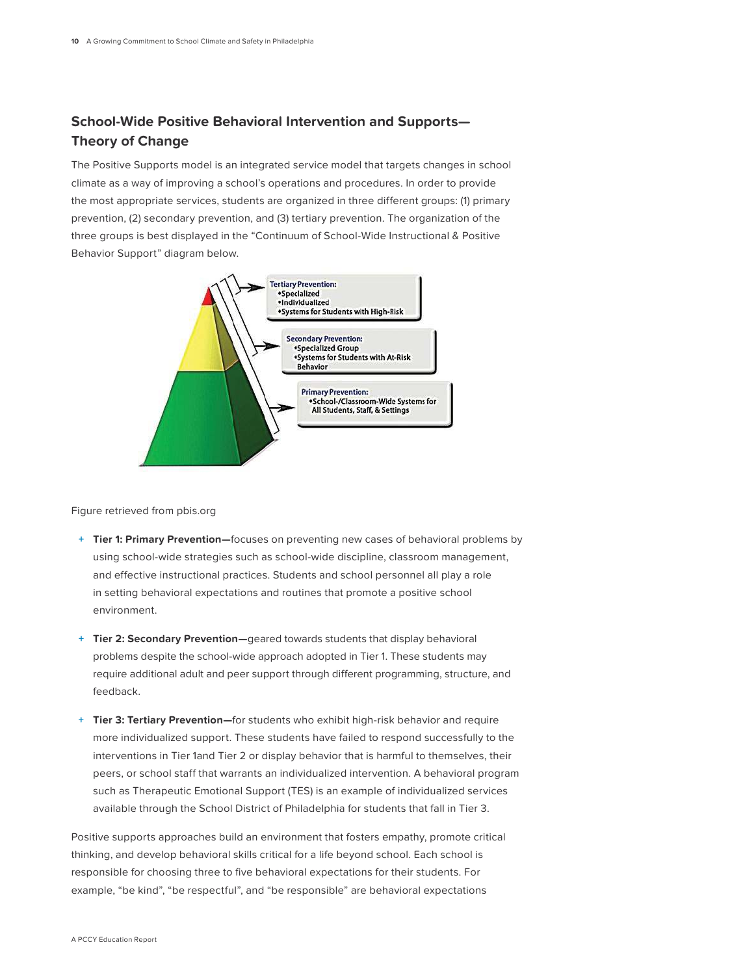## **School-Wide Positive Behavioral Intervention and Supports— Theory of Change**

The Positive Supports model is an integrated service model that targets changes in school climate as a way of improving a school's operations and procedures. In order to provide the most appropriate services, students are organized in three different groups: (1) primary prevention, (2) secondary prevention, and (3) tertiary prevention. The organization of the three groups is best displayed in the "Continuum of School-Wide Instructional & Positive Behavior Support" diagram below.



Figure retrieved from pbis.org

- **+ Tier 1: Primary Prevention—**focuses on preventing new cases of behavioral problems by using school-wide strategies such as school-wide discipline, classroom management, and effective instructional practices. Students and school personnel all play a role in setting behavioral expectations and routines that promote a positive school environment.
- **+ Tier 2: Secondary Prevention—**geared towards students that display behavioral problems despite the school-wide approach adopted in Tier 1. These students may require additional adult and peer support through different programming, structure, and feedback.
- **+ Tier 3: Tertiary Prevention—**for students who exhibit high-risk behavior and require more individualized support. These students have failed to respond successfully to the interventions in Tier 1and Tier 2 or display behavior that is harmful to themselves, their peers, or school staff that warrants an individualized intervention. A behavioral program such as Therapeutic Emotional Support (TES) is an example of individualized services available through the School District of Philadelphia for students that fall in Tier 3.

Positive supports approaches build an environment that fosters empathy, promote critical thinking, and develop behavioral skills critical for a life beyond school. Each school is responsible for choosing three to five behavioral expectations for their students. For example, "be kind", "be respectful", and "be responsible" are behavioral expectations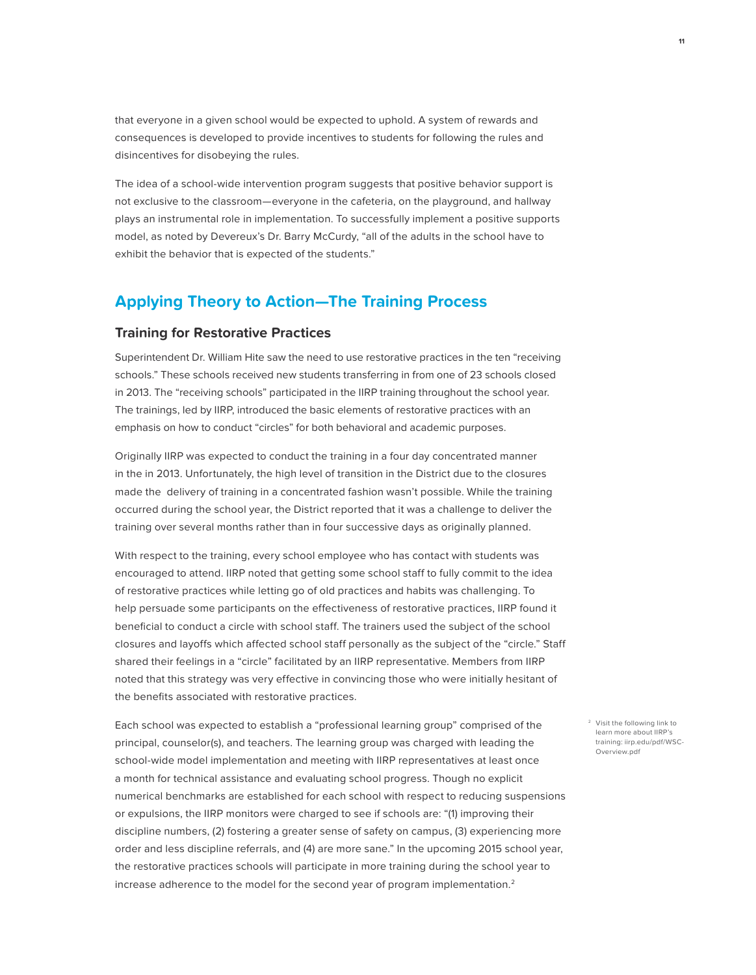that everyone in a given school would be expected to uphold. A system of rewards and consequences is developed to provide incentives to students for following the rules and disincentives for disobeying the rules.

The idea of a school-wide intervention program suggests that positive behavior support is not exclusive to the classroom—everyone in the cafeteria, on the playground, and hallway plays an instrumental role in implementation. To successfully implement a positive supports model, as noted by Devereux's Dr. Barry McCurdy, "all of the adults in the school have to exhibit the behavior that is expected of the students."

# **Applying Theory to Action—The Training Process**

### **Training for Restorative Practices**

Superintendent Dr. William Hite saw the need to use restorative practices in the ten "receiving schools." These schools received new students transferring in from one of 23 schools closed in 2013. The "receiving schools" participated in the IIRP training throughout the school year. The trainings, led by IIRP, introduced the basic elements of restorative practices with an emphasis on how to conduct "circles" for both behavioral and academic purposes.

Originally IIRP was expected to conduct the training in a four day concentrated manner in the in 2013. Unfortunately, the high level of transition in the District due to the closures made the delivery of training in a concentrated fashion wasn't possible. While the training occurred during the school year, the District reported that it was a challenge to deliver the training over several months rather than in four successive days as originally planned.

With respect to the training, every school employee who has contact with students was encouraged to attend. IIRP noted that getting some school staff to fully commit to the idea of restorative practices while letting go of old practices and habits was challenging. To help persuade some participants on the effectiveness of restorative practices, IIRP found it beneficial to conduct a circle with school staff. The trainers used the subject of the school closures and layoffs which affected school staff personally as the subject of the "circle." Staff shared their feelings in a "circle" facilitated by an IIRP representative. Members from IIRP noted that this strategy was very effective in convincing those who were initially hesitant of the benefits associated with restorative practices.

Each school was expected to establish a "professional learning group" comprised of the principal, counselor(s), and teachers. The learning group was charged with leading the school-wide model implementation and meeting with IIRP representatives at least once a month for technical assistance and evaluating school progress. Though no explicit numerical benchmarks are established for each school with respect to reducing suspensions or expulsions, the IIRP monitors were charged to see if schools are: "(1) improving their discipline numbers, (2) fostering a greater sense of safety on campus, (3) experiencing more order and less discipline referrals, and (4) are more sane." In the upcoming 2015 school year, the restorative practices schools will participate in more training during the school year to increase adherence to the model for the second year of program implementation.<sup>2</sup>

2 Visit the following link to learn more about IIRP's training: iirp.edu/pdf/WSC-Overview.pdf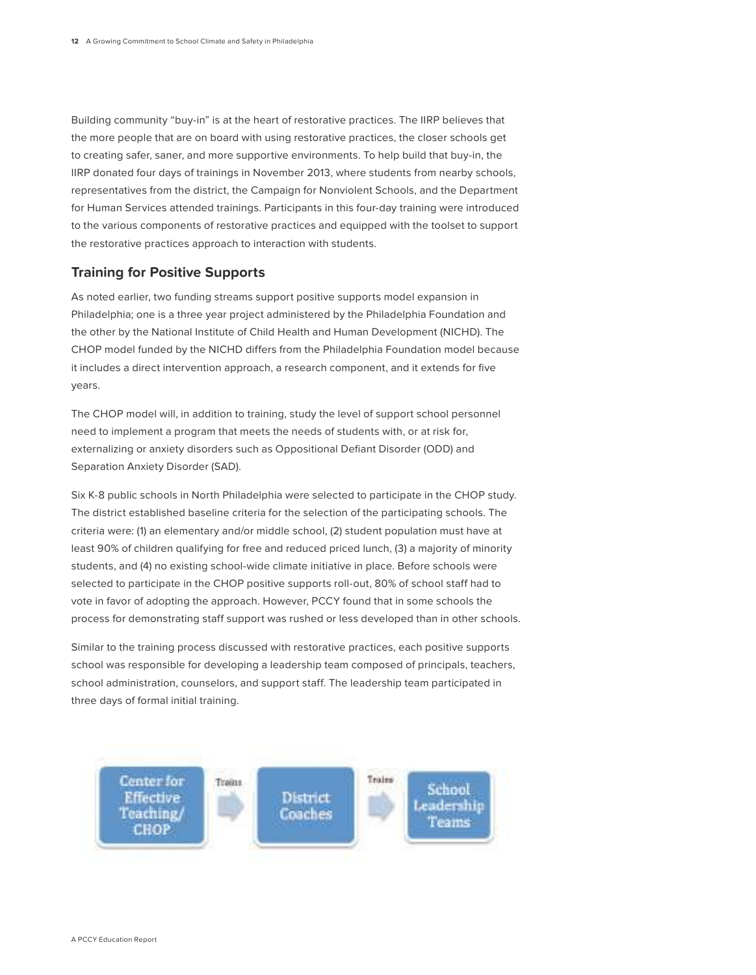Building community "buy-in" is at the heart of restorative practices. The IIRP believes that the more people that are on board with using restorative practices, the closer schools get to creating safer, saner, and more supportive environments. To help build that buy-in, the IIRP donated four days of trainings in November 2013, where students from nearby schools, representatives from the district, the Campaign for Nonviolent Schools, and the Department for Human Services attended trainings. Participants in this four-day training were introduced to the various components of restorative practices and equipped with the toolset to support the restorative practices approach to interaction with students.

## **Training for Positive Supports**

As noted earlier, two funding streams support positive supports model expansion in Philadelphia; one is a three year project administered by the Philadelphia Foundation and the other by the National Institute of Child Health and Human Development (NICHD). The CHOP model funded by the NICHD differs from the Philadelphia Foundation model because it includes a direct intervention approach, a research component, and it extends for five years.

The CHOP model will, in addition to training, study the level of support school personnel need to implement a program that meets the needs of students with, or at risk for, externalizing or anxiety disorders such as Oppositional Defiant Disorder (ODD) and Separation Anxiety Disorder (SAD).

Six K-8 public schools in North Philadelphia were selected to participate in the CHOP study. The district established baseline criteria for the selection of the participating schools. The criteria were: (1) an elementary and/or middle school, (2) student population must have at least 90% of children qualifying for free and reduced priced lunch, (3) a majority of minority students, and (4) no existing school-wide climate initiative in place. Before schools were selected to participate in the CHOP positive supports roll-out, 80% of school staff had to vote in favor of adopting the approach. However, PCCY found that in some schools the process for demonstrating staff support was rushed or less developed than in other schools.

Similar to the training process discussed with restorative practices, each positive supports school was responsible for developing a leadership team composed of principals, teachers, school administration, counselors, and support staff. The leadership team participated in three days of formal initial training.

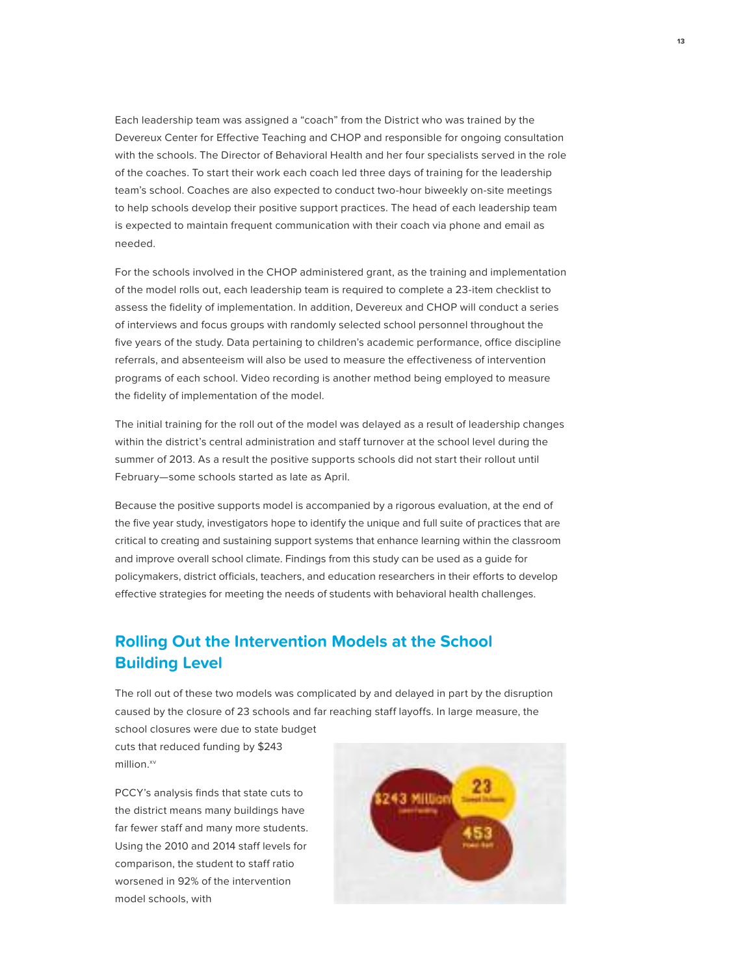Each leadership team was assigned a "coach" from the District who was trained by the Devereux Center for Effective Teaching and CHOP and responsible for ongoing consultation with the schools. The Director of Behavioral Health and her four specialists served in the role of the coaches. To start their work each coach led three days of training for the leadership team's school. Coaches are also expected to conduct two-hour biweekly on-site meetings to help schools develop their positive support practices. The head of each leadership team is expected to maintain frequent communication with their coach via phone and email as needed.

For the schools involved in the CHOP administered grant, as the training and implementation of the model rolls out, each leadership team is required to complete a 23-item checklist to assess the fidelity of implementation. In addition, Devereux and CHOP will conduct a series of interviews and focus groups with randomly selected school personnel throughout the five years of the study. Data pertaining to children's academic performance, office discipline referrals, and absenteeism will also be used to measure the effectiveness of intervention programs of each school. Video recording is another method being employed to measure the fidelity of implementation of the model.

The initial training for the roll out of the model was delayed as a result of leadership changes within the district's central administration and staff turnover at the school level during the summer of 2013. As a result the positive supports schools did not start their rollout until February—some schools started as late as April.

Because the positive supports model is accompanied by a rigorous evaluation, at the end of the five year study, investigators hope to identify the unique and full suite of practices that are critical to creating and sustaining support systems that enhance learning within the classroom and improve overall school climate. Findings from this study can be used as a guide for policymakers, district officials, teachers, and education researchers in their efforts to develop effective strategies for meeting the needs of students with behavioral health challenges.

# **Rolling Out the Intervention Models at the School Building Level**

The roll out of these two models was complicated by and delayed in part by the disruption caused by the closure of 23 schools and far reaching staff layoffs. In large measure, the

school closures were due to state budget cuts that reduced funding by \$243 million.<sup>xv</sup>

PCCY's analysis finds that state cuts to the district means many buildings have far fewer staff and many more students. Using the 2010 and 2014 staff levels for comparison, the student to staff ratio worsened in 92% of the intervention model schools, with

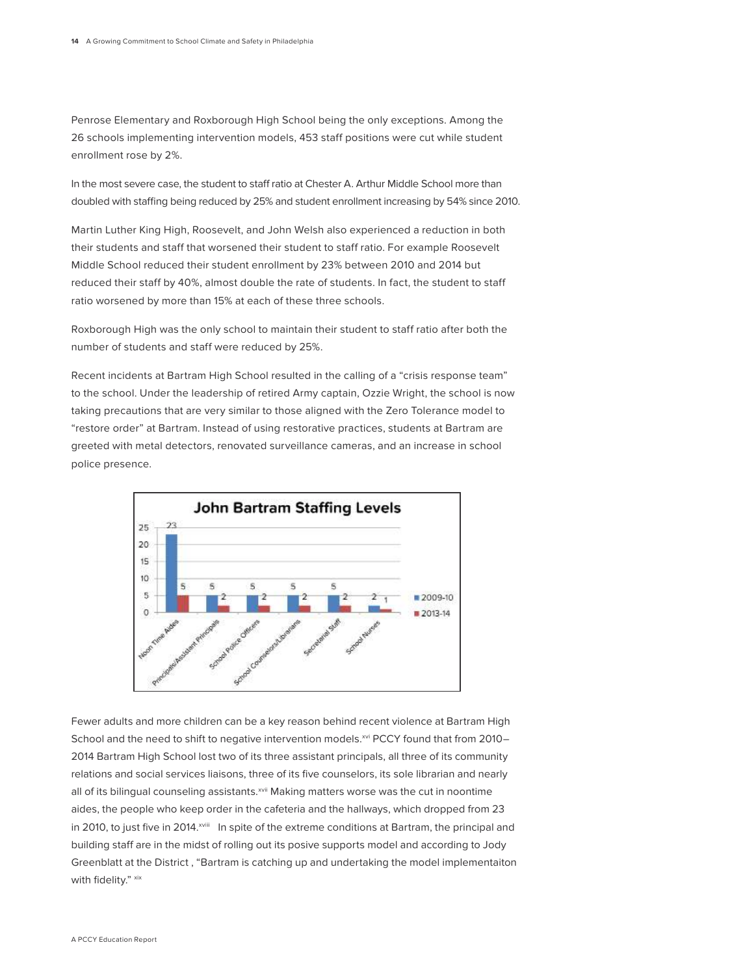Penrose Elementary and Roxborough High School being the only exceptions. Among the 26 schools implementing intervention models, 453 staff positions were cut while student enrollment rose by 2%.

In the most severe case, the student to staff ratio at Chester A. Arthur Middle School more than doubled with staffing being reduced by 25% and student enrollment increasing by 54% since 2010.

Martin Luther King High, Roosevelt, and John Welsh also experienced a reduction in both their students and staff that worsened their student to staff ratio. For example Roosevelt Middle School reduced their student enrollment by 23% between 2010 and 2014 but reduced their staff by 40%, almost double the rate of students. In fact, the student to staff ratio worsened by more than 15% at each of these three schools.

Roxborough High was the only school to maintain their student to staff ratio after both the number of students and staff were reduced by 25%.

Recent incidents at Bartram High School resulted in the calling of a "crisis response team" to the school. Under the leadership of retired Army captain, Ozzie Wright, the school is now taking precautions that are very similar to those aligned with the Zero Tolerance model to "restore order" at Bartram. Instead of using restorative practices, students at Bartram are greeted with metal detectors, renovated surveillance cameras, and an increase in school police presence.



Fewer adults and more children can be a key reason behind recent violence at Bartram High School and the need to shift to negative intervention models.<sup>xvi</sup> PCCY found that from 2010-2014 Bartram High School lost two of its three assistant principals, all three of its community relations and social services liaisons, three of its five counselors, its sole librarian and nearly all of its bilingual counseling assistants.<sup>xvii</sup> Making matters worse was the cut in noontime aides, the people who keep order in the cafeteria and the hallways, which dropped from 23 in 2010, to just five in 2014.<sup>xviii</sup> In spite of the extreme conditions at Bartram, the principal and building staff are in the midst of rolling out its posive supports model and according to Jody Greenblatt at the District , "Bartram is catching up and undertaking the model implementaiton with fidelity." xix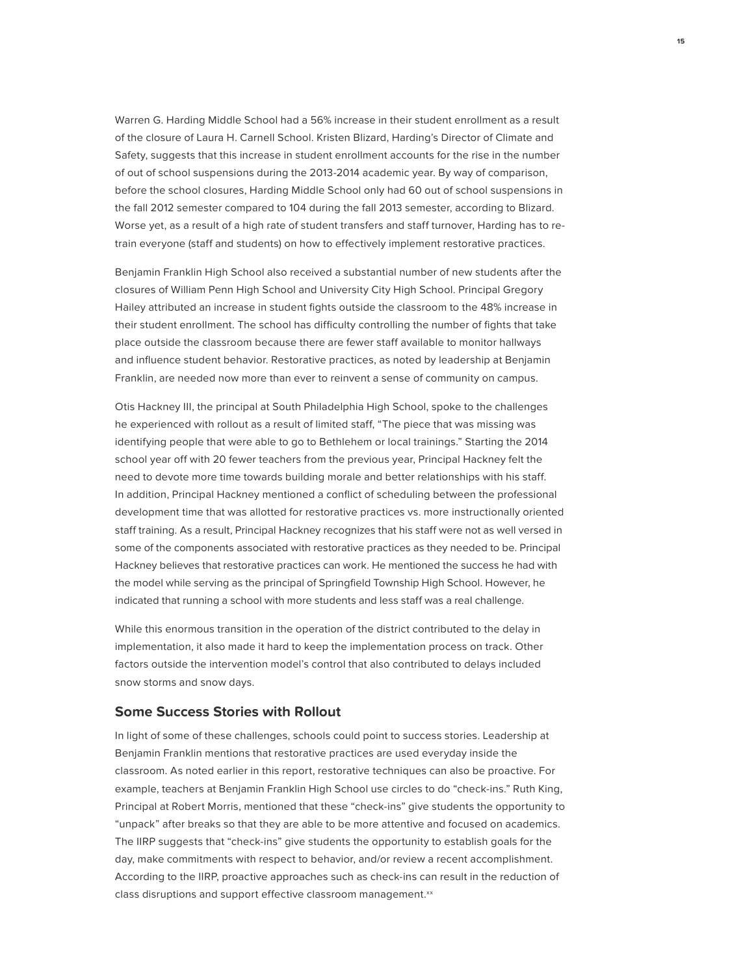Warren G. Harding Middle School had a 56% increase in their student enrollment as a result of the closure of Laura H. Carnell School. Kristen Blizard, Harding's Director of Climate and Safety, suggests that this increase in student enrollment accounts for the rise in the number of out of school suspensions during the 2013-2014 academic year. By way of comparison, before the school closures, Harding Middle School only had 60 out of school suspensions in the fall 2012 semester compared to 104 during the fall 2013 semester, according to Blizard. Worse yet, as a result of a high rate of student transfers and staff turnover, Harding has to retrain everyone (staff and students) on how to effectively implement restorative practices.

Benjamin Franklin High School also received a substantial number of new students after the closures of William Penn High School and University City High School. Principal Gregory Hailey attributed an increase in student fights outside the classroom to the 48% increase in their student enrollment. The school has difficulty controlling the number of fights that take place outside the classroom because there are fewer staff available to monitor hallways and influence student behavior. Restorative practices, as noted by leadership at Benjamin Franklin, are needed now more than ever to reinvent a sense of community on campus.

Otis Hackney III, the principal at South Philadelphia High School, spoke to the challenges he experienced with rollout as a result of limited staff, "The piece that was missing was identifying people that were able to go to Bethlehem or local trainings." Starting the 2014 school year off with 20 fewer teachers from the previous year, Principal Hackney felt the need to devote more time towards building morale and better relationships with his staff. In addition, Principal Hackney mentioned a conflict of scheduling between the professional development time that was allotted for restorative practices vs. more instructionally oriented staff training. As a result, Principal Hackney recognizes that his staff were not as well versed in some of the components associated with restorative practices as they needed to be. Principal Hackney believes that restorative practices can work. He mentioned the success he had with the model while serving as the principal of Springfield Township High School. However, he indicated that running a school with more students and less staff was a real challenge.

While this enormous transition in the operation of the district contributed to the delay in implementation, it also made it hard to keep the implementation process on track. Other factors outside the intervention model's control that also contributed to delays included snow storms and snow days.

## **Some Success Stories with Rollout**

In light of some of these challenges, schools could point to success stories. Leadership at Benjamin Franklin mentions that restorative practices are used everyday inside the classroom. As noted earlier in this report, restorative techniques can also be proactive. For example, teachers at Benjamin Franklin High School use circles to do "check-ins." Ruth King, Principal at Robert Morris, mentioned that these "check-ins" give students the opportunity to "unpack" after breaks so that they are able to be more attentive and focused on academics. The IIRP suggests that "check-ins" give students the opportunity to establish goals for the day, make commitments with respect to behavior, and/or review a recent accomplishment. According to the IIRP, proactive approaches such as check-ins can result in the reduction of class disruptions and support effective classroom management.xx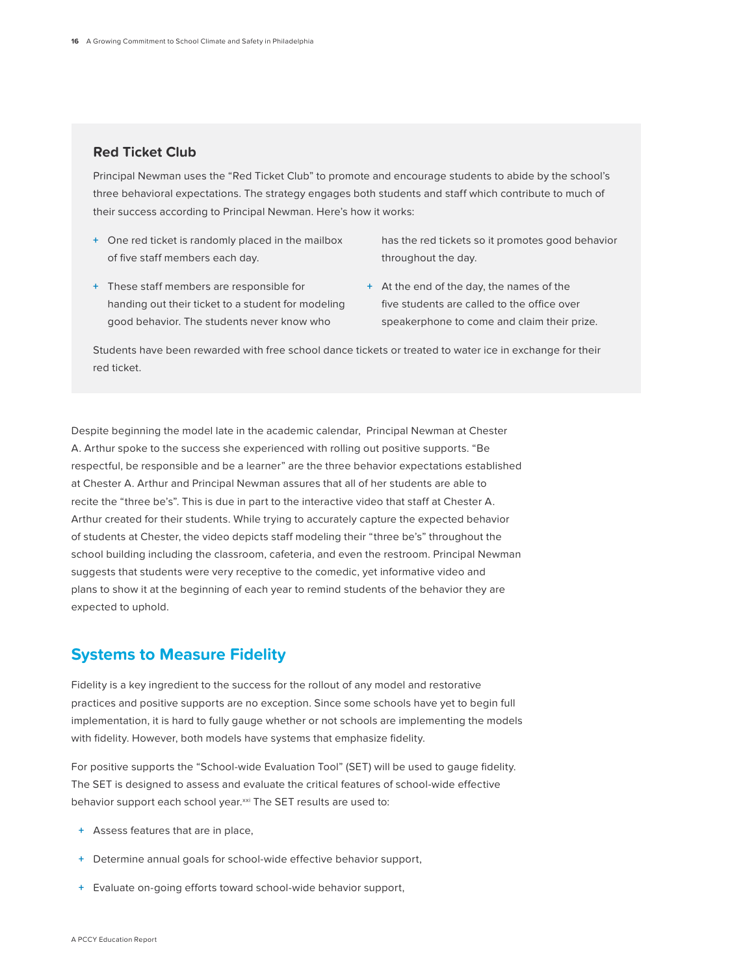## **Red Ticket Club**

Principal Newman uses the "Red Ticket Club" to promote and encourage students to abide by the school's three behavioral expectations. The strategy engages both students and staff which contribute to much of their success according to Principal Newman. Here's how it works:

- **+** One red ticket is randomly placed in the mailbox of five staff members each day.
- **+** These staff members are responsible for handing out their ticket to a student for modeling good behavior. The students never know who
- has the red tickets so it promotes good behavior throughout the day.
- **+** At the end of the day, the names of the five students are called to the office over speakerphone to come and claim their prize.

Students have been rewarded with free school dance tickets or treated to water ice in exchange for their red ticket.

Despite beginning the model late in the academic calendar, Principal Newman at Chester A. Arthur spoke to the success she experienced with rolling out positive supports. "Be respectful, be responsible and be a learner" are the three behavior expectations established at Chester A. Arthur and Principal Newman assures that all of her students are able to recite the "three be's". This is due in part to the interactive video that staff at Chester A. Arthur created for their students. While trying to accurately capture the expected behavior of students at Chester, the video depicts staff modeling their "three be's" throughout the school building including the classroom, cafeteria, and even the restroom. Principal Newman suggests that students were very receptive to the comedic, yet informative video and plans to show it at the beginning of each year to remind students of the behavior they are expected to uphold.

## **Systems to Measure Fidelity**

Fidelity is a key ingredient to the success for the rollout of any model and restorative practices and positive supports are no exception. Since some schools have yet to begin full implementation, it is hard to fully gauge whether or not schools are implementing the models with fidelity. However, both models have systems that emphasize fidelity.

For positive supports the "School-wide Evaluation Tool" (SET) will be used to gauge fidelity. The SET is designed to assess and evaluate the critical features of school-wide effective behavior support each school year.xxi The SET results are used to:

- **+** Assess features that are in place,
- **+** Determine annual goals for school-wide effective behavior support,
- **+** Evaluate on-going efforts toward school-wide behavior support,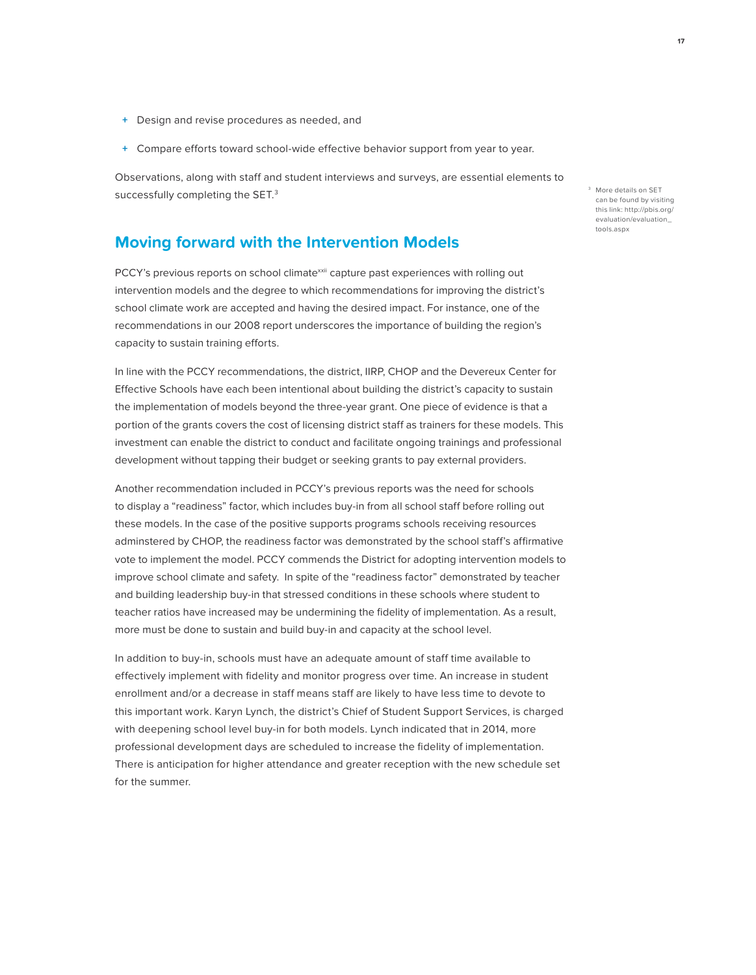- **+** Design and revise procedures as needed, and
- **+** Compare efforts toward school-wide effective behavior support from year to year.

Observations, along with staff and student interviews and surveys, are essential elements to successfully completing the SET.<sup>3</sup>

## **Moving forward with the Intervention Models**

PCCY's previous reports on school climatexxii capture past experiences with rolling out intervention models and the degree to which recommendations for improving the district's school climate work are accepted and having the desired impact. For instance, one of the recommendations in our 2008 report underscores the importance of building the region's capacity to sustain training efforts.

In line with the PCCY recommendations, the district, IIRP, CHOP and the Devereux Center for Effective Schools have each been intentional about building the district's capacity to sustain the implementation of models beyond the three-year grant. One piece of evidence is that a portion of the grants covers the cost of licensing district staff as trainers for these models. This investment can enable the district to conduct and facilitate ongoing trainings and professional development without tapping their budget or seeking grants to pay external providers.

Another recommendation included in PCCY's previous reports was the need for schools to display a "readiness" factor, which includes buy-in from all school staff before rolling out these models. In the case of the positive supports programs schools receiving resources adminstered by CHOP, the readiness factor was demonstrated by the school staff's affirmative vote to implement the model. PCCY commends the District for adopting intervention models to improve school climate and safety. In spite of the "readiness factor" demonstrated by teacher and building leadership buy-in that stressed conditions in these schools where student to teacher ratios have increased may be undermining the fidelity of implementation. As a result, more must be done to sustain and build buy-in and capacity at the school level.

In addition to buy-in, schools must have an adequate amount of staff time available to effectively implement with fidelity and monitor progress over time. An increase in student enrollment and/or a decrease in staff means staff are likely to have less time to devote to this important work. Karyn Lynch, the district's Chief of Student Support Services, is charged with deepening school level buy-in for both models. Lynch indicated that in 2014, more professional development days are scheduled to increase the fidelity of implementation. There is anticipation for higher attendance and greater reception with the new schedule set for the summer.

3 More details on SET can be found by visiting this link: http://pbis.org/ evaluation/evaluation\_ tools.aspx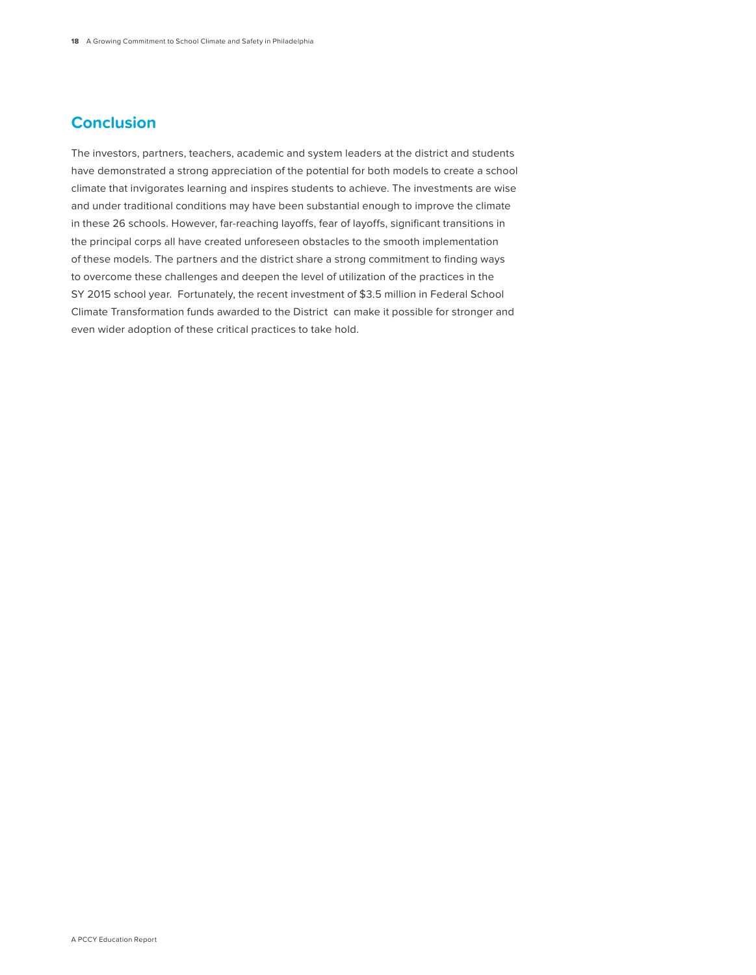# **Conclusion**

The investors, partners, teachers, academic and system leaders at the district and students have demonstrated a strong appreciation of the potential for both models to create a school climate that invigorates learning and inspires students to achieve. The investments are wise and under traditional conditions may have been substantial enough to improve the climate in these 26 schools. However, far-reaching layoffs, fear of layoffs, significant transitions in the principal corps all have created unforeseen obstacles to the smooth implementation of these models. The partners and the district share a strong commitment to finding ways to overcome these challenges and deepen the level of utilization of the practices in the SY 2015 school year. Fortunately, the recent investment of \$3.5 million in Federal School Climate Transformation funds awarded to the District can make it possible for stronger and even wider adoption of these critical practices to take hold.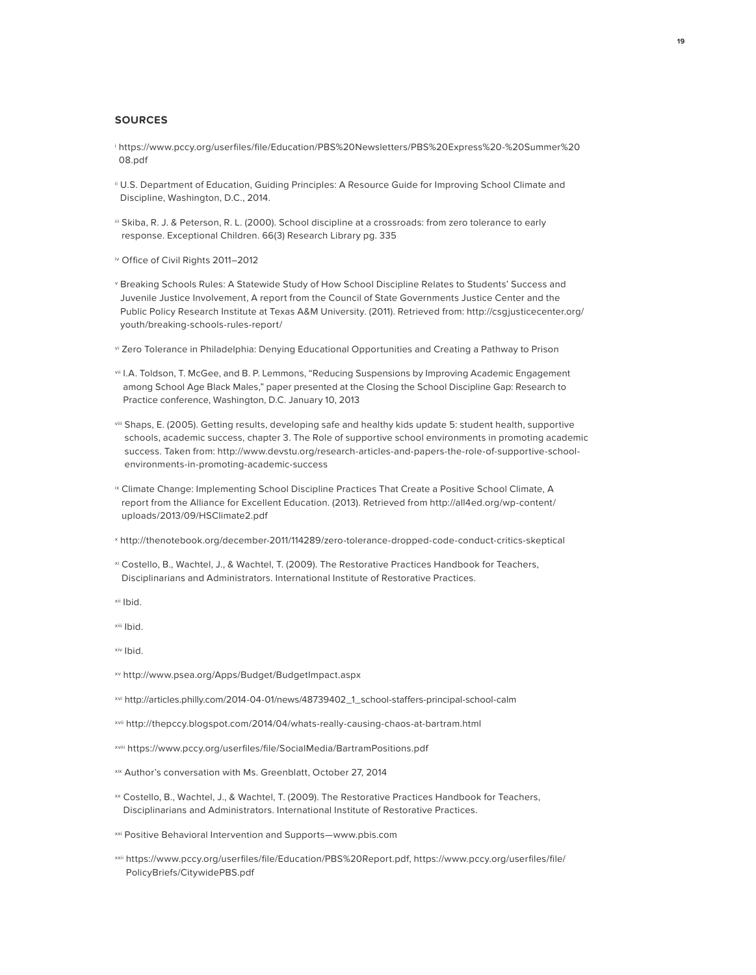#### **SOURCES**

- i https://www.pccy.org/userfiles/file/Education/PBS%20Newsletters/PBS%20Express%20-%20Summer%20 08.pdf
- ii U.S. Department of Education, Guiding Principles: A Resource Guide for Improving School Climate and Discipline, Washington, D.C., 2014.
- iii Skiba, R. J. & Peterson, R. L. (2000). School discipline at a crossroads: from zero tolerance to early response. Exceptional Children. 66(3) Research Library pg. 335
- iv Office of Civil Rights 2011–2012
- v Breaking Schools Rules: A Statewide Study of How School Discipline Relates to Students' Success and Juvenile Justice Involvement, A report from the Council of State Governments Justice Center and the Public Policy Research Institute at Texas A&M University. (2011). Retrieved from: http://csgjusticecenter.org/ youth/breaking-schools-rules-report/
- vi Zero Tolerance in Philadelphia: Denying Educational Opportunities and Creating a Pathway to Prison
- vii I.A. Toldson, T. McGee, and B. P. Lemmons, "Reducing Suspensions by Improving Academic Engagement among School Age Black Males," paper presented at the Closing the School Discipline Gap: Research to Practice conference, Washington, D.C. January 10, 2013
- viii Shaps, E. (2005). Getting results, developing safe and healthy kids update 5: student health, supportive schools, academic success, chapter 3. The Role of supportive school environments in promoting academic success. Taken from: http://www.devstu.org/research-articles-and-papers-the-role-of-supportive-schoolenvironments-in-promoting-academic-success
- <sup>ix</sup> Climate Change: Implementing School Discipline Practices That Create a Positive School Climate, A report from the Alliance for Excellent Education. (2013). Retrieved from http://all4ed.org/wp-content/ uploads/2013/09/HSClimate2.pdf
- x http://thenotebook.org/december-2011/114289/zero-tolerance-dropped-code-conduct-critics-skeptical
- xi Costello, B., Wachtel, J., & Wachtel, T. (2009). The Restorative Practices Handbook for Teachers, Disciplinarians and Administrators. International Institute of Restorative Practices.

xii Ibid.

xiii Ibid.

xiv Ibid.

- xv http://www.psea.org/Apps/Budget/BudgetImpact.aspx
- xvi http://articles.philly.com/2014-04-01/news/48739402\_1\_school-staffers-principal-school-calm
- xvii http://thepccy.blogspot.com/2014/04/whats-really-causing-chaos-at-bartram.html
- xviii https://www.pccy.org/userfiles/file/SocialMedia/BartramPositions.pdf
- xix Author's conversation with Ms. Greenblatt, October 27, 2014
- xx Costello, B., Wachtel, J., & Wachtel, T. (2009). The Restorative Practices Handbook for Teachers, Disciplinarians and Administrators. International Institute of Restorative Practices.
- xxi Positive Behavioral Intervention and Supports—www.pbis.com
- xxii https://www.pccy.org/userfiles/file/Education/PBS%20Report.pdf, https://www.pccy.org/userfiles/file/ PolicyBriefs/CitywidePBS.pdf